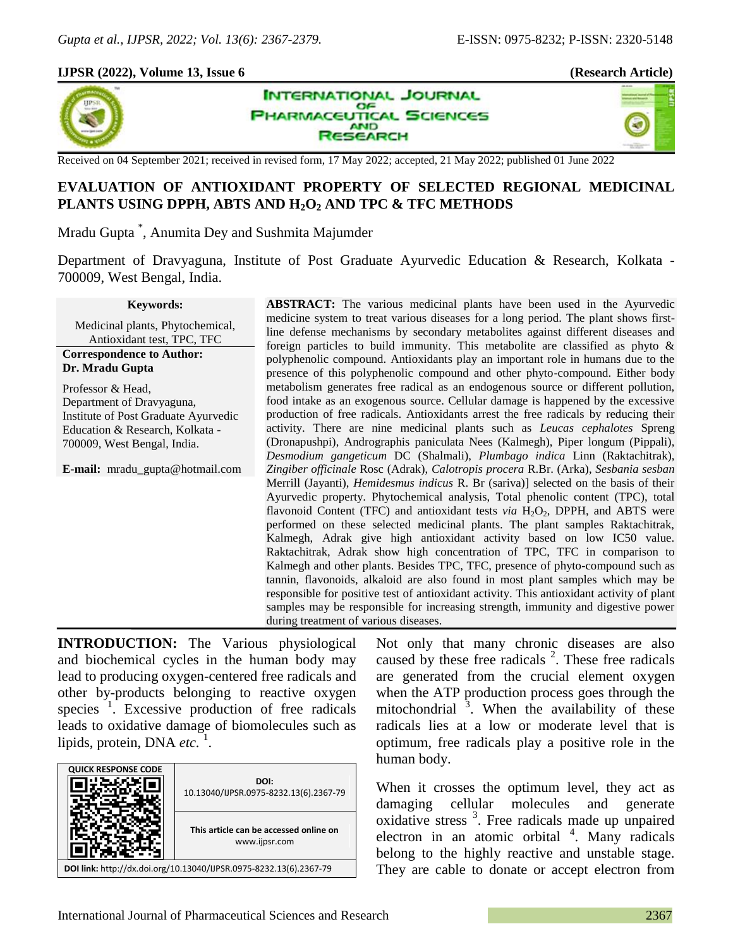## **IJPSR (2022), Volume 13, Issue 6 (Research Article)**



**INTERNATIONAL JOURNAL** 



Received on 04 September 2021; received in revised form, 17 May 2022; accepted, 21 May 2022; published 01 June 2022

# **EVALUATION OF ANTIOXIDANT PROPERTY OF SELECTED REGIONAL MEDICINAL PLANTS USING DPPH, ABTS AND H2O<sup>2</sup> AND TPC & TFC METHODS**

OF **HARMACEUTICAL SCIENCES** 

> **AND ISEARCH**

Mradu Gupta \* , Anumita Dey and Sushmita Majumder

Department of Dravyaguna, Institute of Post Graduate Ayurvedic Education & Research, Kolkata - 700009, West Bengal, India.

#### **Keywords:**

Medicinal plants, Phytochemical, Antioxidant test, TPC, TFC

#### **Correspondence to Author: Dr. Mradu Gupta**

Professor & Head, Department of Dravyaguna, Institute of Post Graduate Ayurvedic Education & Research, Kolkata - 700009, West Bengal, India.

**E-mail:** mradu\_gupta@hotmail.com

**ABSTRACT:** The various medicinal plants have been used in the Ayurvedic medicine system to treat various diseases for a long period. The plant shows firstline defense mechanisms by secondary metabolites against different diseases and foreign particles to build immunity. This metabolite are classified as phyto & polyphenolic compound. Antioxidants play an important role in humans due to the presence of this polyphenolic compound and other phyto-compound. Either body metabolism generates free radical as an endogenous source or different pollution, food intake as an exogenous source. Cellular damage is happened by the excessive production of free radicals. Antioxidants arrest the free radicals by reducing their activity. There are nine medicinal plants such as *Leucas cephalotes* Spreng (Dronapushpi), Andrographis paniculata Nees (Kalmegh), Piper longum (Pippali), *Desmodium gangeticum* DC (Shalmali), *Plumbago indica* Linn (Raktachitrak), *Zingiber officinale* Rosc (Adrak), *Calotropis procera* R.Br. (Arka), *Sesbania sesban*  Merrill (Jayanti), *Hemidesmus indicus* R. Br (sariva)] selected on the basis of their Ayurvedic property. Phytochemical analysis, Total phenolic content (TPC), total flavonoid Content (TFC) and antioxidant tests *via*  $H_2O_2$ , DPPH, and ABTS were performed on these selected medicinal plants. The plant samples Raktachitrak, Kalmegh, Adrak give high antioxidant activity based on low IC50 value. Raktachitrak, Adrak show high concentration of TPC, TFC in comparison to Kalmegh and other plants. Besides TPC, TFC, presence of phyto-compound such as tannin, flavonoids, alkaloid are also found in most plant samples which may be responsible for positive test of antioxidant activity. This antioxidant activity of plant samples may be responsible for increasing strength, immunity and digestive power during treatment of various diseases.

**INTRODUCTION:** The Various physiological and biochemical cycles in the human body may lead to producing oxygen-centered free radicals and other by-products belonging to reactive oxygen species<sup>1</sup>. Excessive production of free radicals leads to oxidative damage of biomolecules such as lipids, protein, DNA etc.<sup>1</sup>.

| <b>QUICK RESPONSE CODE</b>                                         | DOI:<br>10.13040/IJPSR.0975-8232.13(6).2367-79          |  |  |  |
|--------------------------------------------------------------------|---------------------------------------------------------|--|--|--|
|                                                                    | This article can be accessed online on<br>www.ijpsr.com |  |  |  |
| DOI link: http://dx.doi.org/10.13040/IJPSR.0975-8232.13(6).2367-79 |                                                         |  |  |  |

Not only that many chronic diseases are also caused by these free radicals  $2$ . These free radicals are generated from the crucial element oxygen when the ATP production process goes through the mitochondrial  $3$ . When the availability of these radicals lies at a low or moderate level that is optimum, free radicals play a positive role in the human body.

When it crosses the optimum level, they act as damaging cellular molecules and generate oxidative stress<sup>3</sup>. Free radicals made up unpaired electron in an atomic orbital  $4$ . Many radicals belong to the highly reactive and unstable stage. They are cable to donate or accept electron from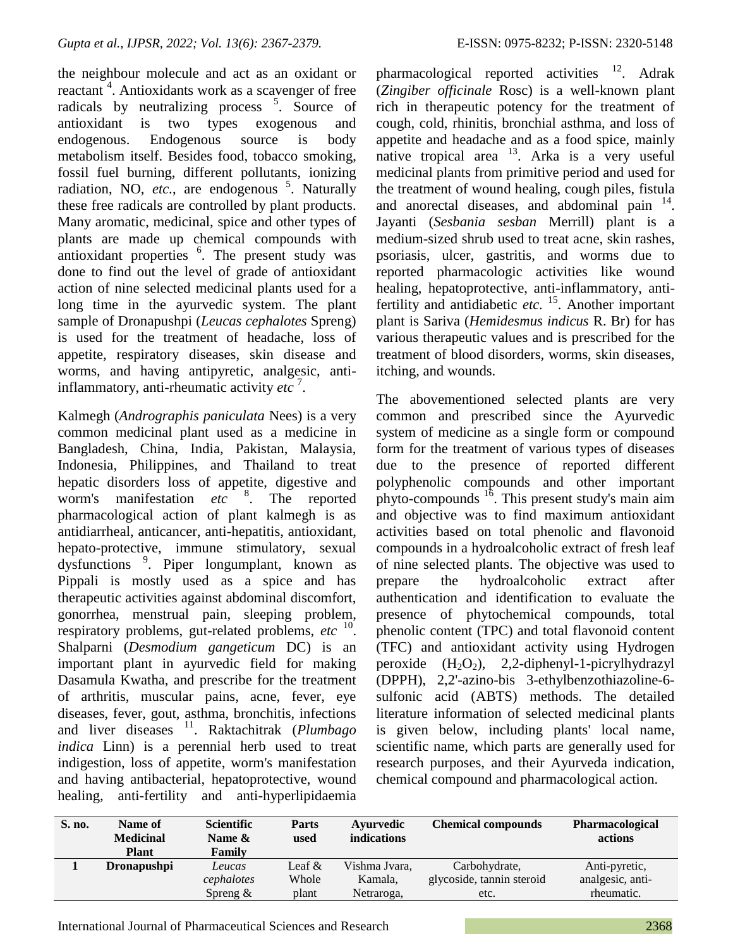the neighbour molecule and act as an oxidant or reactant<sup>4</sup>. Antioxidants work as a scavenger of free radicals by neutralizing process <sup>5</sup>. Source of antioxidant is two types exogenous and endogenous. Endogenous source is body metabolism itself. Besides food, tobacco smoking, fossil fuel burning, different pollutants, ionizing radiation, NO,  $etc.,$  are endogenous  $5.$  Naturally these free radicals are controlled by plant products. Many aromatic, medicinal, spice and other types of plants are made up chemical compounds with antioxidant properties <sup>6</sup>. The present study was done to find out the level of grade of antioxidant action of nine selected medicinal plants used for a long time in the ayurvedic system. The plant sample of Dronapushpi (*Leucas cephalotes* Spreng) is used for the treatment of headache, loss of appetite, respiratory diseases, skin disease and worms, and having antipyretic, analgesic, antiinflammatory, anti-rheumatic activity *etc* <sup>7</sup> .

Kalmegh (*Andrographis paniculata* Nees) is a very common medicinal plant used as a medicine in Bangladesh, China, India, Pakistan, Malaysia, Indonesia, Philippines, and Thailand to treat hepatic disorders loss of appetite, digestive and worm's manifestation *etc* <sup>8</sup> . The reported pharmacological action of plant kalmegh is as antidiarrheal, anticancer, anti-hepatitis, antioxidant, hepato-protective, immune stimulatory, sexual dysfunctions <sup>9</sup>. Piper longumplant, known as Pippali is mostly used as a spice and has therapeutic activities against abdominal discomfort, gonorrhea, menstrual pain, sleeping problem, respiratory problems, gut-related problems, *etc* <sup>10</sup> . Shalparni (*Desmodium gangeticum* DC) is an important plant in ayurvedic field for making Dasamula Kwatha, and prescribe for the treatment of arthritis, muscular pains, acne, fever, eye diseases, fever, gout, asthma, bronchitis, infections and liver diseases <sup>11</sup>. Raktachitrak (*Plumbago indica* Linn) is a perennial herb used to treat indigestion, loss of appetite, worm's manifestation and having antibacterial, hepatoprotective, wound healing, anti-fertility and anti-hyperlipidaemia

pharmacological reported activities <sup>12</sup>. Adrak (*Zingiber officinale* Rosc) is a well-known plant rich in therapeutic potency for the treatment of cough, cold, rhinitis, bronchial asthma, and loss of appetite and headache and as a food spice, mainly native tropical area  $13$ . Arka is a very useful medicinal plants from primitive period and used for the treatment of wound healing, cough piles, fistula and anorectal diseases, and abdominal pain <sup>14</sup>. Jayanti (*Sesbania sesban* Merrill) plant is a medium-sized shrub used to treat acne, skin rashes, psoriasis, ulcer, gastritis, and worms due to reported pharmacologic activities like wound healing, hepatoprotective, anti-inflammatory, antifertility and antidiabetic *etc.* <sup>15</sup>. Another important plant is Sariva (*Hemidesmus indicus* R. Br) for has various therapeutic values and is prescribed for the treatment of blood disorders, worms, skin diseases, itching, and wounds.

The abovementioned selected plants are very common and prescribed since the Ayurvedic system of medicine as a single form or compound form for the treatment of various types of diseases due to the presence of reported different polyphenolic compounds and other important phyto-compounds  $16$ . This present study's main aim and objective was to find maximum antioxidant activities based on total phenolic and flavonoid compounds in a hydroalcoholic extract of fresh leaf of nine selected plants. The objective was used to prepare the hydroalcoholic extract after authentication and identification to evaluate the presence of phytochemical compounds, total phenolic content (TPC) and total flavonoid content (TFC) and antioxidant activity using Hydrogen peroxide  $(H_2O_2)$ , 2,2-diphenyl-1-picrylhydrazyl (DPPH), 2,2'-azino-bis 3-ethylbenzothiazoline-6 sulfonic acid (ABTS) methods. The detailed literature information of selected medicinal plants is given below, including plants' local name, scientific name, which parts are generally used for research purposes, and their Ayurveda indication, chemical compound and pharmacological action.

| S. no. | Name of<br><b>Medicinal</b><br>Plant | <b>Scientific</b><br>Name $\&$<br>Family | Parts<br>used | Avurvedic<br>indications | <b>Chemical compounds</b> | <b>Pharmacological</b><br>actions |
|--------|--------------------------------------|------------------------------------------|---------------|--------------------------|---------------------------|-----------------------------------|
|        | <b>Dronapushpi</b>                   | Leucas                                   | Leaf $&$      | Vishma Jvara,            | Carbohydrate,             | Anti-pyretic,                     |
|        |                                      | cephalotes                               | Whole         | Kamala,                  | glycoside, tannin steroid | analgesic, anti-                  |
|        |                                      | Spreng $\&$                              | plant         | Netraroga,               | etc.                      | rheumatic.                        |

International Journal of Pharmaceutical Sciences and Research 2368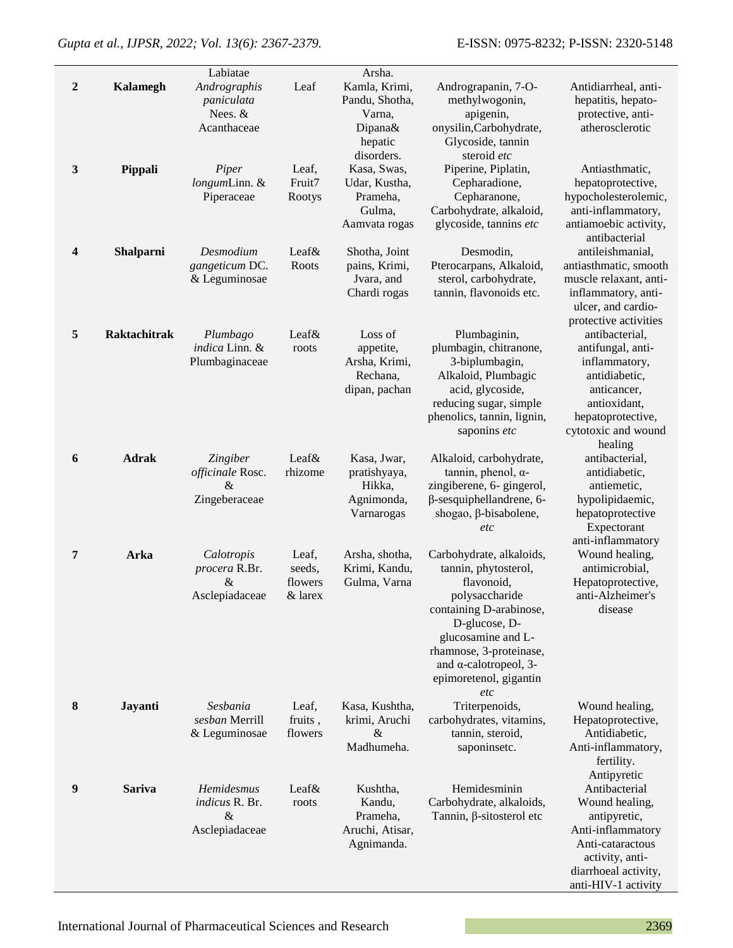*Gupta et al., IJPSR, 2022; Vol. 13(6): 2367-2379.* E-ISSN: 0975-8232; P-ISSN: 2320-5148

|                  |                     | Labiatae                                                   |                                       | Arsha.                                                                        |                                                                                                                                                                                                                                                 |                                                                                                                                                             |
|------------------|---------------------|------------------------------------------------------------|---------------------------------------|-------------------------------------------------------------------------------|-------------------------------------------------------------------------------------------------------------------------------------------------------------------------------------------------------------------------------------------------|-------------------------------------------------------------------------------------------------------------------------------------------------------------|
| $\boldsymbol{2}$ | <b>Kalamegh</b>     | Andrographis<br>paniculata<br>Nees. &<br>Acanthaceae       | Leaf                                  | Kamla, Krimi,<br>Pandu, Shotha,<br>Varna,<br>Dipana&<br>hepatic<br>disorders. | Andrograpanin, 7-O-<br>methylwogonin,<br>apigenin,<br>onysilin, Carbohydrate,<br>Glycoside, tannin<br>steroid etc                                                                                                                               | Antidiarrheal, anti-<br>hepatitis, hepato-<br>protective, anti-<br>atherosclerotic                                                                          |
| $\mathbf{3}$     | Pippali             | Piper<br>longumLinn. &<br>Piperaceae                       | Leaf,<br>Fruit7<br>Rootys             | Kasa, Swas,<br>Udar, Kustha,<br>Prameha,<br>Gulma,<br>Aamvata rogas           | Piperine, Piplatin,<br>Cepharadione,<br>Cepharanone,<br>Carbohydrate, alkaloid,<br>glycoside, tannins etc                                                                                                                                       | Antiasthmatic,<br>hepatoprotective,<br>hypocholesterolemic,<br>anti-inflammatory,<br>antiamoebic activity,<br>antibacterial                                 |
| 4                | Shalparni           | Desmodium<br>gangeticum DC.<br>& Leguminosae               | Leaf&<br>Roots                        | Shotha, Joint<br>pains, Krimi,<br>Jvara, and<br>Chardi rogas                  | Desmodin,<br>Pterocarpans, Alkaloid,<br>sterol, carbohydrate,<br>tannin, flavonoids etc.                                                                                                                                                        | antileishmanial,<br>antiasthmatic, smooth<br>muscle relaxant, anti-<br>inflammatory, anti-<br>ulcer, and cardio-<br>protective activities                   |
| 5                | <b>Raktachitrak</b> | Plumbago<br>indica Linn. &<br>Plumbaginaceae               | Leaf&<br>roots                        | Loss of<br>appetite,<br>Arsha, Krimi,<br>Rechana.<br>dipan, pachan            | Plumbaginin,<br>plumbagin, chitranone,<br>3-biplumbagin,<br>Alkaloid, Plumbagic<br>acid, glycoside,<br>reducing sugar, simple<br>phenolics, tannin, lignin,<br>saponins etc                                                                     | antibacterial,<br>antifungal, anti-<br>inflammatory,<br>antidiabetic,<br>anticancer,<br>antioxidant,<br>hepatoprotective,<br>cytotoxic and wound<br>healing |
| 6                | <b>Adrak</b>        | Zingiber<br>officinale Rosc.<br>$\&$<br>Zingeberaceae      | Leaf&<br>rhizome                      | Kasa, Jwar,<br>pratishyaya,<br>Hikka,<br>Agnimonda,<br>Varnarogas             | Alkaloid, carbohydrate,<br>tannin, phenol, $\alpha$ -<br>zingiberene, 6- gingerol,<br>$\beta$ -sesquiphellandrene, 6-<br>shogao, β-bisabolene,<br>etc                                                                                           | antibacterial,<br>antidiabetic,<br>antiemetic,<br>hypolipidaemic,<br>hepatoprotective<br>Expectorant<br>anti-inflammatory                                   |
| 7                | Arka                | Calotropis<br>procera R.Br.<br>$\&$<br>Asclepiadaceae      | Leaf,<br>seeds,<br>flowers<br>& larex | Arsha, shotha,<br>Krimi, Kandu,<br>Gulma, Varna                               | Carbohydrate, alkaloids,<br>tannin, phytosterol,<br>flavonoid,<br>polysaccharide<br>containing D-arabinose,<br>D-glucose, D-<br>glucosamine and L-<br>rhamnose, 3-proteinase,<br>and $\alpha$ -calotropeol, 3-<br>epimoretenol, gigantin<br>etc | Wound healing,<br>antimicrobial,<br>Hepatoprotective,<br>anti-Alzheimer's<br>disease                                                                        |
| 8                | Jayanti             | Sesbania<br>sesban Merrill<br>& Leguminosae                | Leaf,<br>fruits,<br>flowers           | Kasa, Kushtha,<br>krimi, Aruchi<br>$\&$<br>Madhumeha.                         | Triterpenoids,<br>carbohydrates, vitamins,<br>tannin, steroid,<br>saponinsetc.                                                                                                                                                                  | Wound healing,<br>Hepatoprotective,<br>Antidiabetic,<br>Anti-inflammatory,<br>fertility.<br>Antipyretic                                                     |
| 9                | <b>Sariva</b>       | Hemidesmus<br><i>indicus</i> R. Br.<br>&<br>Asclepiadaceae | Leaf&<br>roots                        | Kushtha,<br>Kandu,<br>Prameha,<br>Aruchi, Atisar,<br>Agnimanda.               | Hemidesminin<br>Carbohydrate, alkaloids,<br>Tannin, $\beta$ -sitosterol etc                                                                                                                                                                     | Antibacterial<br>Wound healing,<br>antipyretic,<br>Anti-inflammatory<br>Anti-cataractous<br>activity, anti-<br>diarrhoeal activity,<br>anti-HIV-1 activity  |

International Journal of Pharmaceutical Sciences and Research 2369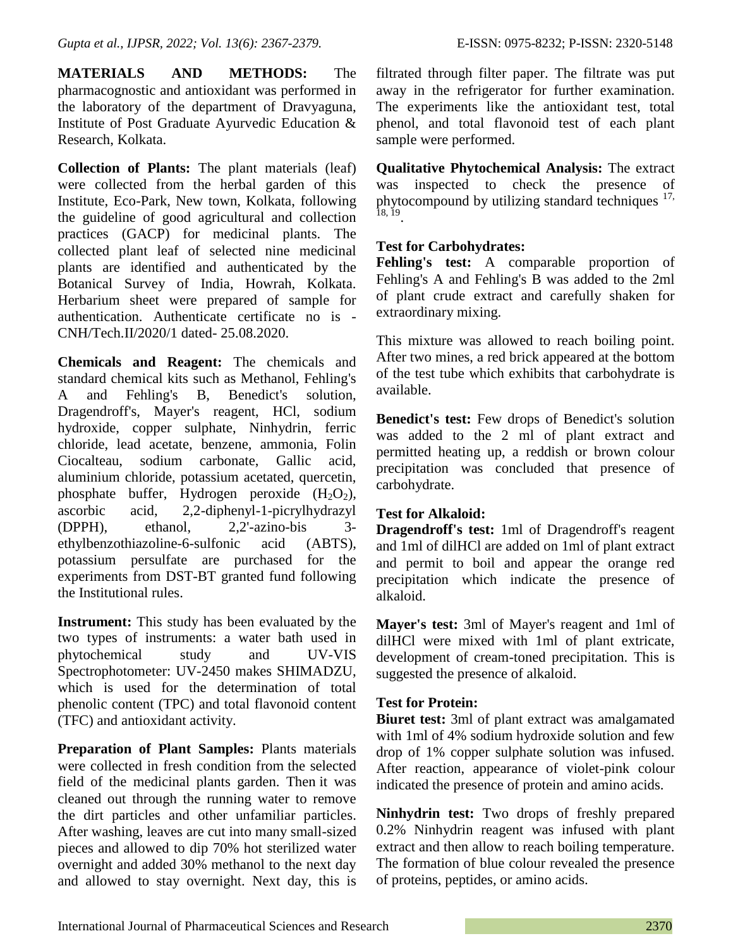**MATERIALS AND METHODS:** The pharmacognostic and antioxidant was performed in the laboratory of the department of Dravyaguna, Institute of Post Graduate Ayurvedic Education & Research, Kolkata.

**Collection of Plants:** The plant materials (leaf) were collected from the herbal garden of this Institute, Eco-Park, New town, Kolkata, following the guideline of good agricultural and collection practices (GACP) for medicinal plants. The collected plant leaf of selected nine medicinal plants are identified and authenticated by the Botanical Survey of India, Howrah, Kolkata. Herbarium sheet were prepared of sample for authentication. Authenticate certificate no is - CNH/Tech.II/2020/1 dated- 25.08.2020.

**Chemicals and Reagent:** The chemicals and standard chemical kits such as Methanol, Fehling's A and Fehling's B, Benedict's solution, Dragendroff's, Mayer's reagent, HCl, sodium hydroxide, copper sulphate, Ninhydrin, ferric chloride, lead acetate, benzene, ammonia, Folin Ciocalteau, sodium carbonate, Gallic acid, aluminium chloride, potassium acetated, quercetin, phosphate buffer, Hydrogen peroxide  $(H_2O_2)$ , ascorbic acid, 2,2-diphenyl-1-picrylhydrazyl (DPPH), ethanol, 2,2'-azino-bis 3 ethylbenzothiazoline-6-sulfonic acid (ABTS), potassium persulfate are purchased for the experiments from DST-BT granted fund following the Institutional rules.

**Instrument:** This study has been evaluated by the two types of instruments: a water bath used in phytochemical study and UV-VIS Spectrophotometer: UV-2450 makes SHIMADZU, which is used for the determination of total phenolic content (TPC) and total flavonoid content (TFC) and antioxidant activity.

**Preparation of Plant Samples:** Plants materials were collected in fresh condition from the selected field of the medicinal plants garden. Then it was cleaned out through the running water to remove the dirt particles and other unfamiliar particles. After washing, leaves are cut into many small-sized pieces and allowed to dip 70% hot sterilized water overnight and added 30% methanol to the next day and allowed to stay overnight. Next day, this is

filtrated through filter paper. The filtrate was put away in the refrigerator for further examination. The experiments like the antioxidant test, total phenol, and total flavonoid test of each plant sample were performed.

**Qualitative Phytochemical Analysis:** The extract was inspected to check the presence of phytocompound by utilizing standard techniques  $17$ , 18, 19 .

# **Test for Carbohydrates:**

**Fehling's test:** A comparable proportion of Fehling's A and Fehling's B was added to the 2ml of plant crude extract and carefully shaken for extraordinary mixing.

This mixture was allowed to reach boiling point. After two mines, a red brick appeared at the bottom of the test tube which exhibits that carbohydrate is available.

**Benedict's test:** Few drops of Benedict's solution was added to the 2 ml of plant extract and permitted heating up, a reddish or brown colour precipitation was concluded that presence of carbohydrate.

# **Test for Alkaloid:**

**Dragendroff's test:** 1ml of Dragendroff's reagent and 1ml of dilHCl are added on 1ml of plant extract and permit to boil and appear the orange red precipitation which indicate the presence of alkaloid.

**Mayer's test:** 3ml of Mayer's reagent and 1ml of dilHCl were mixed with 1ml of plant extricate, development of cream-toned precipitation. This is suggested the presence of alkaloid.

# **Test for Protein:**

**Biuret test:** 3ml of plant extract was amalgamated with 1ml of 4% sodium hydroxide solution and few drop of 1% copper sulphate solution was infused. After reaction, appearance of violet-pink colour indicated the presence of protein and amino acids.

**Ninhydrin test:** Two drops of freshly prepared 0.2% Ninhydrin reagent was infused with plant extract and then allow to reach boiling temperature. The formation of blue colour revealed the presence of proteins, peptides, or amino acids.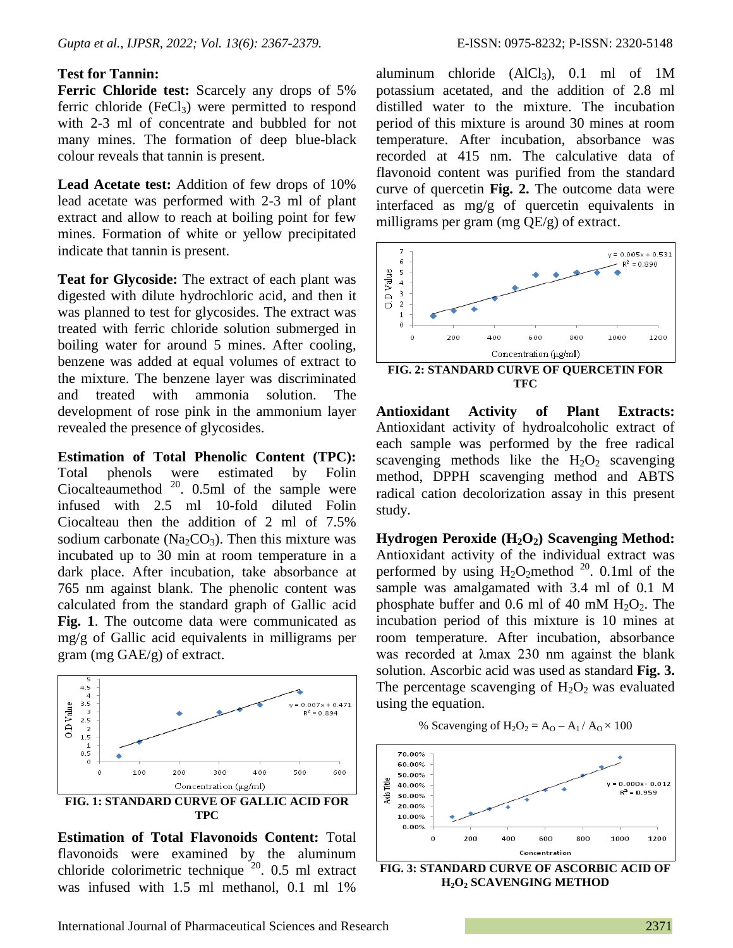#### **Test for Tannin:**

**Ferric Chloride test:** Scarcely any drops of 5% ferric chloride  $(FeCl<sub>3</sub>)$  were permitted to respond with 2-3 ml of concentrate and bubbled for not many mines. The formation of deep blue-black colour reveals that tannin is present.

**Lead Acetate test:** Addition of few drops of 10% lead acetate was performed with 2-3 ml of plant extract and allow to reach at boiling point for few mines. Formation of white or yellow precipitated indicate that tannin is present.

**Teat for Glycoside:** The extract of each plant was digested with dilute hydrochloric acid, and then it was planned to test for glycosides. The extract was treated with ferric chloride solution submerged in boiling water for around 5 mines. After cooling, benzene was added at equal volumes of extract to the mixture. The benzene layer was discriminated and treated with ammonia solution. development of rose pink in the ammonium layer revealed the presence of glycosides.

**Estimation of Total Phenolic Content (TPC):** Total phenols were estimated by Folin Ciocalteaumethod  $20$ . 0.5ml of the sample were infused with 2.5 ml 10-fold diluted Folin Ciocalteau then the addition of 2 ml of 7.5% sodium carbonate ( $Na<sub>2</sub>CO<sub>3</sub>$ ). Then this mixture was incubated up to 30 min at room temperature in a dark place. After incubation, take absorbance at 765 nm against blank. The phenolic content was calculated from the standard graph of Gallic acid **Fig. 1**. The outcome data were communicated as mg/g of Gallic acid equivalents in milligrams per gram (mg GAE/g) of extract.



**Estimation of Total Flavonoids Content:** Total flavonoids were examined by the aluminum chloride colorimetric technique  $20$ . 0.5 ml extract was infused with 1.5 ml methanol, 0.1 ml 1%

aluminum chloride  $(AICI_3)$ , 0.1 ml of 1M potassium acetated, and the addition of 2.8 ml distilled water to the mixture. The incubation period of this mixture is around 30 mines at room temperature. After incubation, absorbance was recorded at 415 nm. The calculative data of flavonoid content was purified from the standard curve of quercetin **Fig. 2.** The outcome data were interfaced as mg/g of quercetin equivalents in milligrams per gram (mg QE/g) of extract.



**TFC**

**Antioxidant Activity of Plant Extracts:** Antioxidant activity of hydroalcoholic extract of each sample was performed by the free radical scavenging methods like the  $H_2O_2$  scavenging method, DPPH scavenging method and ABTS radical cation decolorization assay in this present study.

**Hydrogen Peroxide (H2O2) Scavenging Method:** Antioxidant activity of the individual extract was performed by using  $H_2O_2$  method <sup>20</sup>. 0.1ml of the sample was amalgamated with 3.4 ml of 0.1 M phosphate buffer and 0.6 ml of 40 mM  $H_2O_2$ . The incubation period of this mixture is 10 mines at room temperature. After incubation, absorbance was recorded at λmax 230 nm against the blank solution. Ascorbic acid was used as standard **Fig. 3.** The percentage scavenging of  $H_2O_2$  was evaluated using the equation.

% Scavenging of  $H_2O_2 = A_0 - A_1/A_0 \times 100$ 



**H2O<sup>2</sup> SCAVENGING METHOD**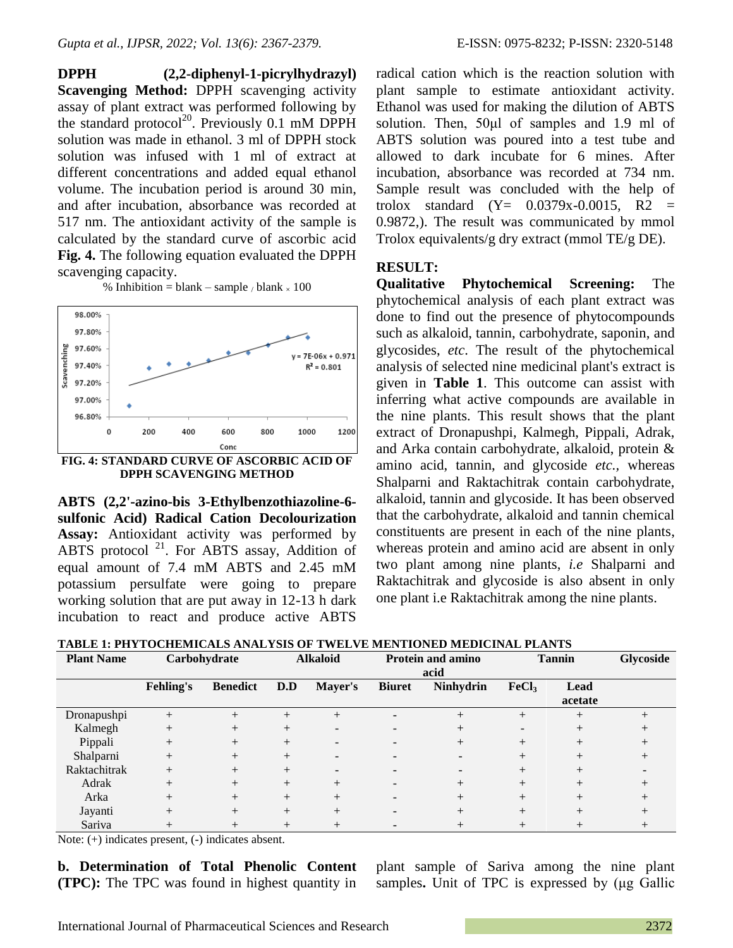**DPPH (2,2-diphenyl-1-picrylhydrazyl) Scavenging Method:** DPPH scavenging activity assay of plant extract was performed following by the standard protocol<sup>20</sup>. Previously 0.1 mM DPPH solution was made in ethanol. 3 ml of DPPH stock solution was infused with 1 ml of extract at different concentrations and added equal ethanol volume. The incubation period is around 30 min, and after incubation, absorbance was recorded at 517 nm. The antioxidant activity of the sample is calculated by the standard curve of ascorbic acid **Fig. 4.** The following equation evaluated the DPPH scavenging capacity.

% Inhibition = blank – sample / blank  $\times 100$ 



**DPPH SCAVENGING METHOD**

**ABTS (2,2'-azino-bis 3-Ethylbenzothiazoline-6 sulfonic Acid) Radical Cation Decolourization Assay:** Antioxidant activity was performed by ABTS protocol<sup>21</sup>. For ABTS assay, Addition of equal amount of 7.4 mM ABTS and 2.45 mM potassium persulfate were going to prepare working solution that are put away in 12-13 h dark incubation to react and produce active ABTS

radical cation which is the reaction solution with plant sample to estimate antioxidant activity. Ethanol was used for making the dilution of ABTS solution. Then, 50μl of samples and 1.9 ml of ABTS solution was poured into a test tube and allowed to dark incubate for 6 mines. After incubation, absorbance was recorded at 734 nm. Sample result was concluded with the help of trolox standard  $(Y= 0.0379x-0.0015, R2 =$ 0.9872,). The result was communicated by mmol Trolox equivalents/g dry extract (mmol TE/g DE).

### **RESULT:**

**Qualitative Phytochemical Screening:** The phytochemical analysis of each plant extract was done to find out the presence of phytocompounds such as alkaloid, tannin, carbohydrate, saponin, and glycosides, *etc*. The result of the phytochemical analysis of selected nine medicinal plant's extract is given in **Table 1**. This outcome can assist with inferring what active compounds are available in the nine plants. This result shows that the plant extract of Dronapushpi, Kalmegh, Pippali, Adrak, and Arka contain carbohydrate, alkaloid, protein & amino acid, tannin, and glycoside *etc.,* whereas Shalparni and Raktachitrak contain carbohydrate, alkaloid, tannin and glycoside. It has been observed that the carbohydrate, alkaloid and tannin chemical constituents are present in each of the nine plants, whereas protein and amino acid are absent in only two plant among nine plants, *i.e* Shalparni and Raktachitrak and glycoside is also absent in only one plant i.e Raktachitrak among the nine plants.

| TABLE 1: PHYTOCHEMICALS ANALYSIS OF TWELVE MENTIONED MEDICINAL PLANTS |  |  |
|-----------------------------------------------------------------------|--|--|
|                                                                       |  |  |

| <b>Plant Name</b> |                  | Carbohydrate    |        | <b>Alkaloid</b> |               | <b>Protein and amino</b> |                   | <b>Tannin</b> | Glycoside |
|-------------------|------------------|-----------------|--------|-----------------|---------------|--------------------------|-------------------|---------------|-----------|
|                   |                  |                 | acid   |                 |               |                          |                   |               |           |
|                   | <b>Fehling's</b> | <b>Benedict</b> | D.D    | Mayer's         | <b>Biuret</b> | <b>Ninhydrin</b>         | FeCl <sub>3</sub> | Lead          |           |
|                   |                  |                 |        |                 |               |                          |                   | acetate       |           |
| Dronapushpi       | $^{+}$           |                 |        | $^{+}$          |               | $^{+}$                   | $^{+}$            |               |           |
| Kalmegh           | $^{+}$           | $^{+}$          |        |                 |               | $^{+}$                   |                   | $^{+}$        |           |
| Pippali           | $^{+}$           | $^{+}$          | $^{+}$ |                 |               | $^{+}$                   | $^+$              | $^{+}$        |           |
| Shalparni         | $^{+}$           | $^{+}$          | $^{+}$ |                 |               |                          | $^{+}$            | $^{+}$        |           |
| Raktachitrak      | $^{+}$           | $^{+}$          | $^{+}$ |                 |               |                          | $^{+}$            | $^+$          |           |
| Adrak             | $^{+}$           | $^{+}$          | $^{+}$ |                 |               | $^{+}$                   | $^+$              |               |           |
| Arka              | $^{+}$           | $^{+}$          | $^{+}$ |                 |               | $^{+}$                   | $^{+}$            | $^{+}$        |           |
| Jayanti           | $^{+}$           |                 | $^{+}$ |                 |               | $^{+}$                   | $^{+}$            |               |           |
| Sariva            |                  |                 |        |                 |               |                          |                   |               |           |

Note: (+) indicates present, (-) indicates absent.

**b. Determination of Total Phenolic Content (TPC):** The TPC was found in highest quantity in

plant sample of Sariva among the nine plant samples**.** Unit of TPC is expressed by (μg Gallic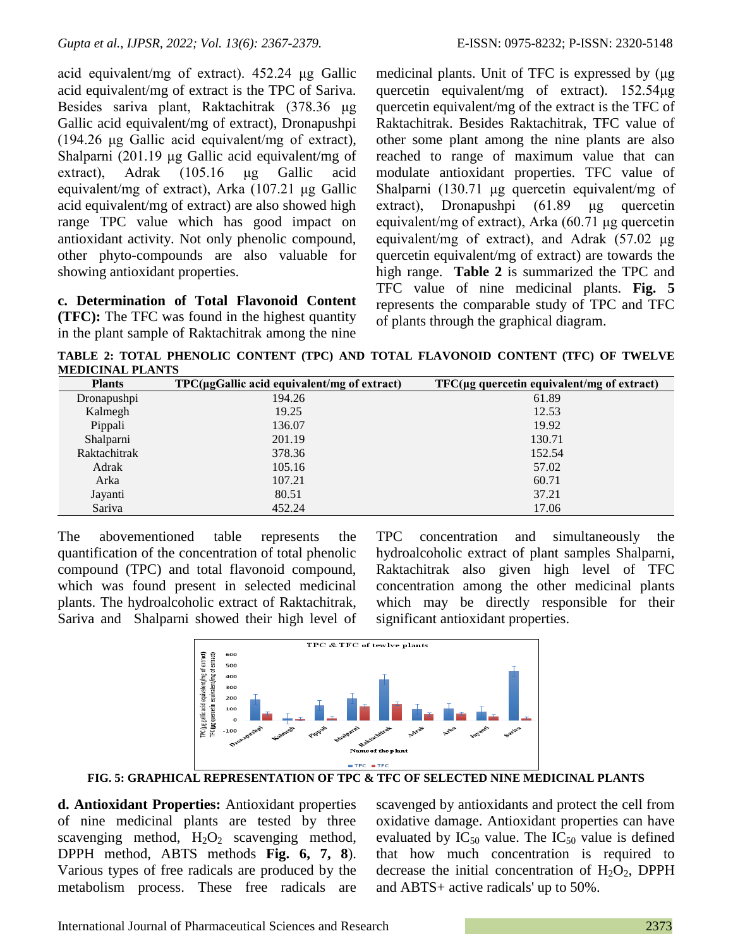acid equivalent/mg of extract). 452.24 μg Gallic acid equivalent/mg of extract is the TPC of Sariva. Besides sariva plant, Raktachitrak (378.36 μg Gallic acid equivalent/mg of extract), Dronapushpi (194.26 μg Gallic acid equivalent/mg of extract), Shalparni (201.19 μg Gallic acid equivalent/mg of extract), Adrak (105.16 μg Gallic acid equivalent/mg of extract), Arka (107.21 μg Gallic acid equivalent/mg of extract) are also showed high range TPC value which has good impact on antioxidant activity. Not only phenolic compound, other phyto-compounds are also valuable for showing antioxidant properties.

**c. Determination of Total Flavonoid Content (TFC):** The TFC was found in the highest quantity in the plant sample of Raktachitrak among the nine medicinal plants. Unit of TFC is expressed by (μg quercetin equivalent/mg of extract). 152.54μg quercetin equivalent/mg of the extract is the TFC of Raktachitrak. Besides Raktachitrak, TFC value of other some plant among the nine plants are also reached to range of maximum value that can modulate antioxidant properties. TFC value of Shalparni (130.71 μg quercetin equivalent/mg of extract), Dronapushpi (61.89 μg quercetin equivalent/mg of extract), Arka (60.71 μg quercetin equivalent/mg of extract), and Adrak (57.02 μg quercetin equivalent/mg of extract) are towards the high range. **Table 2** is summarized the TPC and TFC value of nine medicinal plants. **Fig. 5** represents the comparable study of TPC and TFC of plants through the graphical diagram.

**TABLE 2: TOTAL PHENOLIC CONTENT (TPC) AND TOTAL FLAVONOID CONTENT (TFC) OF TWELVE MEDICINAL PLANTS**

| <b>Plants</b> | $TPC(\mu gGallic acid equivalent/mg of extract)$ | $TFC(\mu)$ quercetin equivalent/mg of extract) |
|---------------|--------------------------------------------------|------------------------------------------------|
| Dronapushpi   | 194.26                                           | 61.89                                          |
| Kalmegh       | 19.25                                            | 12.53                                          |
| Pippali       | 136.07                                           | 19.92                                          |
| Shalparni     | 201.19                                           | 130.71                                         |
| Raktachitrak  | 378.36                                           | 152.54                                         |
| Adrak         | 105.16                                           | 57.02                                          |
| Arka          | 107.21                                           | 60.71                                          |
| Jayanti       | 80.51                                            | 37.21                                          |
| Sariva        | 452.24                                           | 17.06                                          |

The abovementioned table represents the quantification of the concentration of total phenolic compound (TPC) and total flavonoid compound, which was found present in selected medicinal plants. The hydroalcoholic extract of Raktachitrak, Sariva and Shalparni showed their high level of TPC concentration and simultaneously the hydroalcoholic extract of plant samples Shalparni, Raktachitrak also given high level of TFC concentration among the other medicinal plants which may be directly responsible for their significant antioxidant properties.



**FIG. 5: GRAPHICAL REPRESENTATION OF TPC & TFC OF SELECTED NINE MEDICINAL PLANTS**

**d. Antioxidant Properties:** Antioxidant properties of nine medicinal plants are tested by three scavenging method,  $H_2O_2$  scavenging method, DPPH method, ABTS methods **Fig. 6, 7, 8**). Various types of free radicals are produced by the metabolism process. These free radicals are scavenged by antioxidants and protect the cell from oxidative damage. Antioxidant properties can have evaluated by  $IC_{50}$  value. The  $IC_{50}$  value is defined that how much concentration is required to decrease the initial concentration of  $H_2O_2$ , DPPH and ABTS+ active radicals' up to 50%.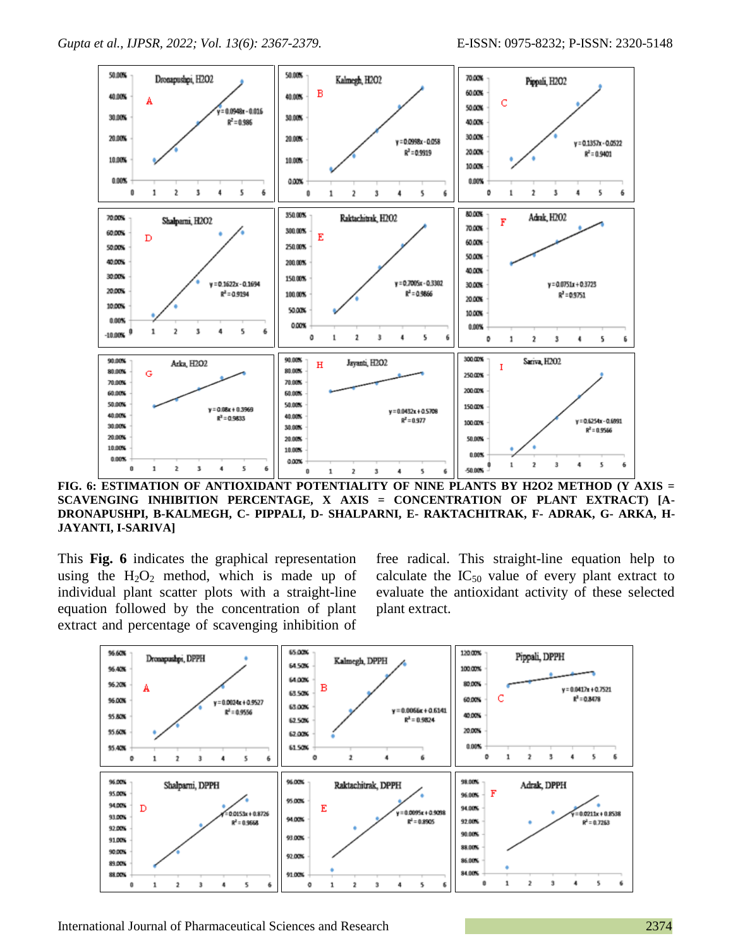

**FIG. 6: ESTIMATION OF ANTIOXIDANT POTENTIALITY OF NINE PLANTS BY H2O2 METHOD (Y AXIS = SCAVENGING INHIBITION PERCENTAGE, X AXIS = CONCENTRATION OF PLANT EXTRACT) [A-DRONAPUSHPI, B-KALMEGH, C- PIPPALI, D- SHALPARNI, E- RAKTACHITRAK, F- ADRAK, G- ARKA, H-JAYANTI, I-SARIVA]**

This **Fig. 6** indicates the graphical representation using the  $H_2O_2$  method, which is made up of individual plant scatter plots with a straight-line equation followed by the concentration of plant extract and percentage of scavenging inhibition of

free radical. This straight-line equation help to calculate the  $IC_{50}$  value of every plant extract to evaluate the antioxidant activity of these selected plant extract.



International Journal of Pharmaceutical Sciences and Research 2374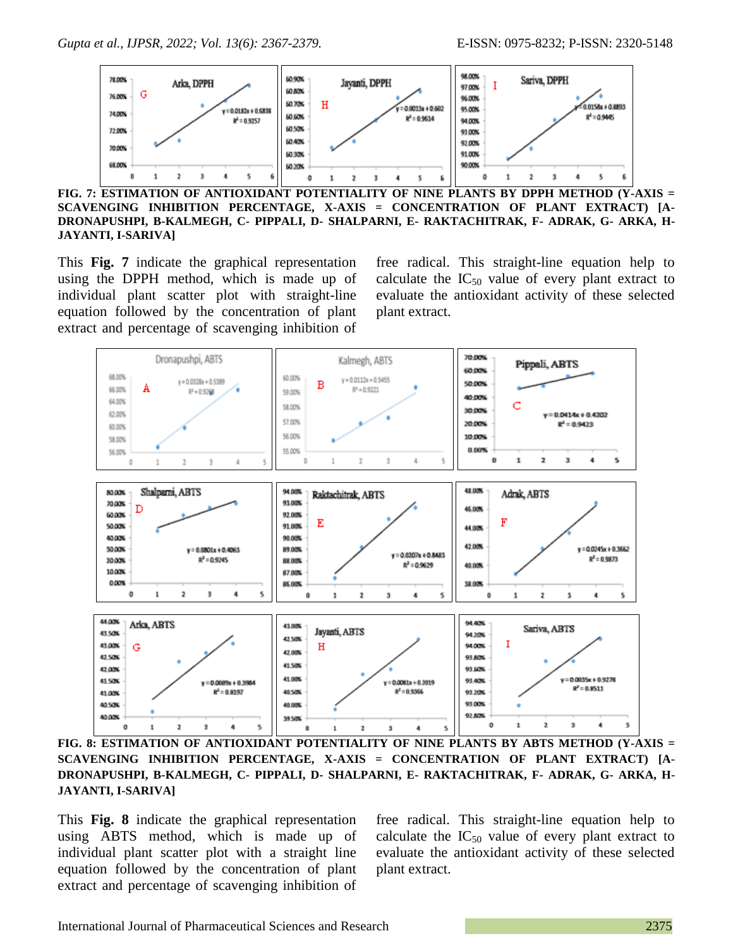

**FIG. 7: ESTIMATION OF ANTIOXIDANT POTENTIALITY OF NINE PLANTS BY DPPH METHOD (Y-AXIS = SCAVENGING INHIBITION PERCENTAGE, X-AXIS = CONCENTRATION OF PLANT EXTRACT) [A-DRONAPUSHPI, B-KALMEGH, C- PIPPALI, D- SHALPARNI, E- RAKTACHITRAK, F- ADRAK, G- ARKA, H-JAYANTI, I-SARIVA]**

This **Fig. 7** indicate the graphical representation using the DPPH method, which is made up of individual plant scatter plot with straight-line equation followed by the concentration of plant extract and percentage of scavenging inhibition of

free radical. This straight-line equation help to calculate the  $IC_{50}$  value of every plant extract to evaluate the antioxidant activity of these selected plant extract.



**FIG. 8: ESTIMATION OF ANTIOXIDANT POTENTIALITY OF NINE PLANTS BY ABTS METHOD (Y-AXIS = SCAVENGING INHIBITION PERCENTAGE, X-AXIS = CONCENTRATION OF PLANT EXTRACT) [A-DRONAPUSHPI, B-KALMEGH, C- PIPPALI, D- SHALPARNI, E- RAKTACHITRAK, F- ADRAK, G- ARKA, H-JAYANTI, I-SARIVA]**

This **Fig. 8** indicate the graphical representation using ABTS method, which is made up of individual plant scatter plot with a straight line equation followed by the concentration of plant extract and percentage of scavenging inhibition of

free radical. This straight-line equation help to calculate the  $IC_{50}$  value of every plant extract to evaluate the antioxidant activity of these selected plant extract.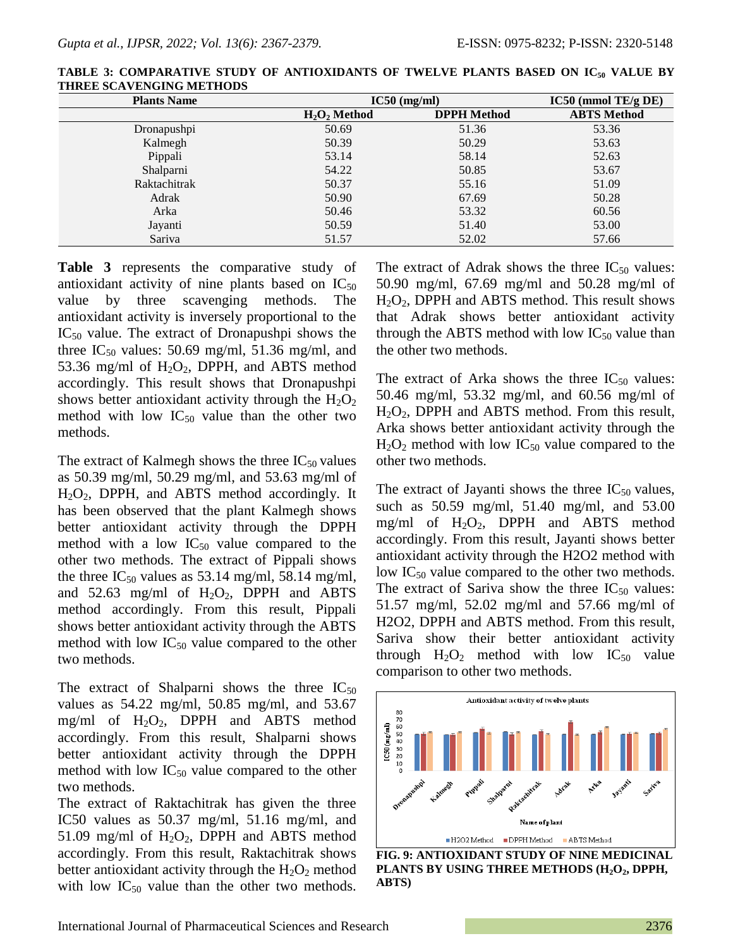| <b>Plants Name</b> | $IC50$ (mg/ml)  | $IC50$ (mmol TE/g DE) |                    |
|--------------------|-----------------|-----------------------|--------------------|
|                    | $H_2O_2$ Method | <b>DPPH</b> Method    | <b>ABTS</b> Method |
| Dronapushpi        | 50.69           | 51.36                 | 53.36              |
| Kalmegh            | 50.39           | 50.29                 | 53.63              |
| Pippali            | 53.14           | 58.14                 | 52.63              |
| Shalparni          | 54.22           | 50.85                 | 53.67              |
| Raktachitrak       | 50.37           | 55.16                 | 51.09              |
| Adrak              | 50.90           | 67.69                 | 50.28              |
| Arka               | 50.46           | 53.32                 | 60.56              |
| Jayanti            | 50.59           | 51.40                 | 53.00              |
| Sariva             | 51.57           | 52.02                 | 57.66              |

**TABLE 3: COMPARATIVE STUDY OF ANTIOXIDANTS OF TWELVE PLANTS BASED ON IC<sup>50</sup> VALUE BY THREE SCAVENGING METHODS**

**Table 3** represents the comparative study of antioxidant activity of nine plants based on  $IC_{50}$ value by three scavenging methods. The antioxidant activity is inversely proportional to the  $IC_{50}$  value. The extract of Dronapushpi shows the three  $IC_{50}$  values: 50.69 mg/ml, 51.36 mg/ml, and 53.36 mg/ml of  $H_2O_2$ , DPPH, and ABTS method accordingly. This result shows that Dronapushpi shows better antioxidant activity through the  $H_2O_2$ method with low  $IC_{50}$  value than the other two methods.

The extract of Kalmegh shows the three  $IC_{50}$  values as 50.39 mg/ml, 50.29 mg/ml, and 53.63 mg/ml of  $H_2O_2$ , DPPH, and ABTS method accordingly. It has been observed that the plant Kalmegh shows better antioxidant activity through the DPPH method with a low  $IC_{50}$  value compared to the other two methods. The extract of Pippali shows the three  $IC_{50}$  values as 53.14 mg/ml, 58.14 mg/ml, and  $52.63$  mg/ml of  $H_2O_2$ , DPPH and ABTS method accordingly. From this result, Pippali shows better antioxidant activity through the ABTS method with low  $IC_{50}$  value compared to the other two methods.

The extract of Shalparni shows the three  $IC_{50}$ values as 54.22 mg/ml, 50.85 mg/ml, and 53.67 mg/ml of  $H_2O_2$ , DPPH and ABTS method accordingly. From this result, Shalparni shows better antioxidant activity through the DPPH method with low  $IC_{50}$  value compared to the other two methods.

The extract of Raktachitrak has given the three IC50 values as 50.37 mg/ml, 51.16 mg/ml, and 51.09 mg/ml of  $H_2O_2$ , DPPH and ABTS method accordingly. From this result, Raktachitrak shows better antioxidant activity through the  $H_2O_2$  method with low  $IC_{50}$  value than the other two methods.

The extract of Adrak shows the three  $IC_{50}$  values: 50.90 mg/ml, 67.69 mg/ml and 50.28 mg/ml of  $H<sub>2</sub>O<sub>2</sub>$ , DPPH and ABTS method. This result shows that Adrak shows better antioxidant activity through the ABTS method with low  $IC_{50}$  value than the other two methods.

The extract of Arka shows the three  $IC_{50}$  values: 50.46 mg/ml, 53.32 mg/ml, and 60.56 mg/ml of  $H_2O_2$ , DPPH and ABTS method. From this result, Arka shows better antioxidant activity through the  $H_2O_2$  method with low IC<sub>50</sub> value compared to the other two methods.

The extract of Jayanti shows the three  $IC_{50}$  values, such as 50.59 mg/ml, 51.40 mg/ml, and 53.00 mg/ml of  $H_2O_2$ , DPPH and ABTS method accordingly. From this result, Jayanti shows better antioxidant activity through the H2O2 method with low  $IC_{50}$  value compared to the other two methods. The extract of Sariva show the three  $IC_{50}$  values: 51.57 mg/ml, 52.02 mg/ml and 57.66 mg/ml of H2O2, DPPH and ABTS method. From this result, Sariva show their better antioxidant activity through  $H_2O_2$  method with low  $IC_{50}$  value comparison to other two methods.



**FIG. 9: ANTIOXIDANT STUDY OF NINE MEDICINAL PLANTS BY USING THREE METHODS (H2O2, DPPH, ABTS)**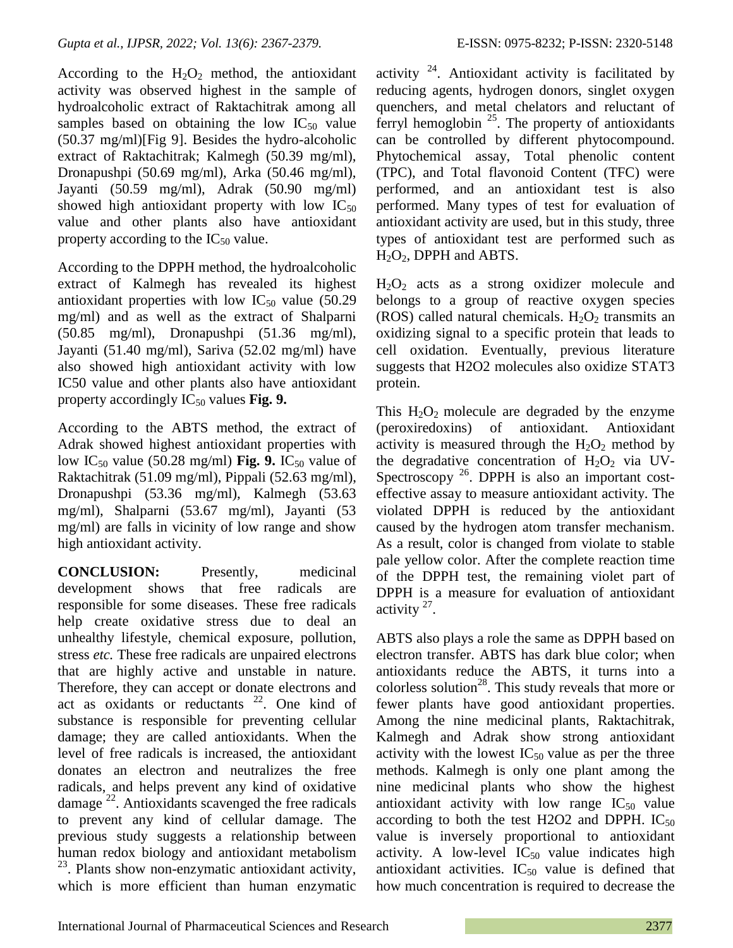According to the  $H_2O_2$  method, the antioxidant activity was observed highest in the sample of hydroalcoholic extract of Raktachitrak among all samples based on obtaining the low  $IC_{50}$  value (50.37 mg/ml)[Fig 9]. Besides the hydro-alcoholic extract of Raktachitrak; Kalmegh (50.39 mg/ml), Dronapushpi (50.69 mg/ml), Arka (50.46 mg/ml), Jayanti (50.59 mg/ml), Adrak (50.90 mg/ml) showed high antioxidant property with low  $IC_{50}$ value and other plants also have antioxidant property according to the  $IC_{50}$  value.

According to the DPPH method, the hydroalcoholic extract of Kalmegh has revealed its highest antioxidant properties with low  $IC_{50}$  value (50.29) mg/ml) and as well as the extract of Shalparni (50.85 mg/ml), Dronapushpi (51.36 mg/ml), Jayanti (51.40 mg/ml), Sariva (52.02 mg/ml) have also showed high antioxidant activity with low IC50 value and other plants also have antioxidant property accordingly IC<sub>50</sub> values **Fig. 9.** 

According to the ABTS method, the extract of Adrak showed highest antioxidant properties with low IC<sub>50</sub> value (50.28 mg/ml) **Fig. 9.** IC<sub>50</sub> value of Raktachitrak (51.09 mg/ml), Pippali (52.63 mg/ml), Dronapushpi (53.36 mg/ml), Kalmegh (53.63 mg/ml), Shalparni (53.67 mg/ml), Jayanti (53 mg/ml) are falls in vicinity of low range and show high antioxidant activity.

**CONCLUSION:** Presently, medicinal development shows that free radicals are responsible for some diseases. These free radicals help create oxidative stress due to deal an unhealthy lifestyle, chemical exposure, pollution, stress *etc.* These free radicals are unpaired electrons that are highly active and unstable in nature. Therefore, they can accept or donate electrons and act as oxidants or reductants  $22$ . One kind of substance is responsible for preventing cellular damage; they are called antioxidants. When the level of free radicals is increased, the antioxidant donates an electron and neutralizes the free radicals, and helps prevent any kind of oxidative damage<sup>22</sup>. Antioxidants scavenged the free radicals to prevent any kind of cellular damage. The previous study suggests a relationship between human redox biology and antioxidant metabolism <sup>23</sup>. Plants show non-enzymatic antioxidant activity, which is more efficient than human enzymatic

activity  $24$ . Antioxidant activity is facilitated by reducing agents, hydrogen donors, singlet oxygen quenchers, and metal chelators and reluctant of ferryl hemoglobin  $25$ . The property of antioxidants can be controlled by different phytocompound. Phytochemical assay, Total phenolic content (TPC), and Total flavonoid Content (TFC) were performed, and an antioxidant test is also performed. Many types of test for evaluation of antioxidant activity are used, but in this study, three types of antioxidant test are performed such as  $H<sub>2</sub>O<sub>2</sub>$ , DPPH and ABTS.

 $H_2O_2$  acts as a strong oxidizer molecule and belongs to a group of reactive oxygen species (ROS) called natural chemicals.  $H_2O_2$  transmits an oxidizing signal to a specific protein that leads to cell oxidation. Eventually, previous literature suggests that H2O2 molecules also oxidize STAT3 protein.

This  $H_2O_2$  molecule are degraded by the enzyme (peroxiredoxins) of antioxidant. Antioxidant activity is measured through the  $H_2O_2$  method by the degradative concentration of  $H_2O_2$  via UV-Spectroscopy  $^{26}$ . DPPH is also an important costeffective assay to measure antioxidant activity. The violated DPPH is reduced by the antioxidant caused by the hydrogen atom transfer mechanism. As a result, color is changed from violate to stable pale yellow color. After the complete reaction time of the DPPH test, the remaining violet part of DPPH is a measure for evaluation of antioxidant activity  $27$ .

ABTS also plays a role the same as DPPH based on electron transfer. ABTS has dark blue color; when antioxidants reduce the ABTS, it turns into a colorless solution<sup>28</sup>. This study reveals that more or fewer plants have good antioxidant properties. Among the nine medicinal plants, Raktachitrak, Kalmegh and Adrak show strong antioxidant activity with the lowest  $IC_{50}$  value as per the three methods. Kalmegh is only one plant among the nine medicinal plants who show the highest antioxidant activity with low range  $IC_{50}$  value according to both the test H2O2 and DPPH.  $IC_{50}$ value is inversely proportional to antioxidant activity. A low-level  $IC_{50}$  value indicates high antioxidant activities.  $IC_{50}$  value is defined that how much concentration is required to decrease the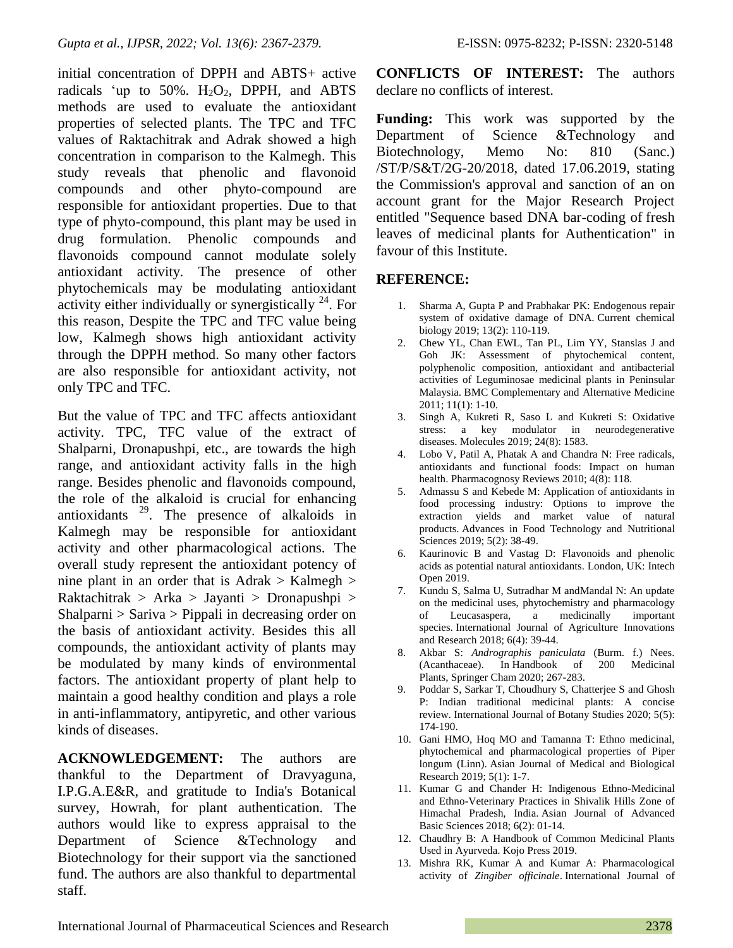initial concentration of DPPH and ABTS+ active radicals 'up to 50%.  $H_2O_2$ , DPPH, and ABTS methods are used to evaluate the antioxidant properties of selected plants. The TPC and TFC values of Raktachitrak and Adrak showed a high concentration in comparison to the Kalmegh. This study reveals that phenolic and flavonoid compounds and other phyto-compound are responsible for antioxidant properties. Due to that type of phyto-compound, this plant may be used in drug formulation. Phenolic compounds and flavonoids compound cannot modulate solely antioxidant activity. The presence of other phytochemicals may be modulating antioxidant activity either individually or synergistically  $^{24}$ . For this reason, Despite the TPC and TFC value being low, Kalmegh shows high antioxidant activity through the DPPH method. So many other factors are also responsible for antioxidant activity, not only TPC and TFC.

But the value of TPC and TFC affects antioxidant activity. TPC, TFC value of the extract of Shalparni, Dronapushpi, etc., are towards the high range, and antioxidant activity falls in the high range. Besides phenolic and flavonoids compound, the role of the alkaloid is crucial for enhancing antioxidants  $29$ . The presence of alkaloids in Kalmegh may be responsible for antioxidant activity and other pharmacological actions. The overall study represent the antioxidant potency of nine plant in an order that is  $Adr$   $\geq$  Kalmegh  $\geq$ Raktachitrak > Arka > Jayanti > Dronapushpi > Shalparni > Sariva > Pippali in decreasing order on the basis of antioxidant activity. Besides this all compounds, the antioxidant activity of plants may be modulated by many kinds of environmental factors. The antioxidant property of plant help to maintain a good healthy condition and plays a role in anti-inflammatory, antipyretic, and other various kinds of diseases.

**ACKNOWLEDGEMENT:** The authors are thankful to the Department of Dravyaguna, I.P.G.A.E&R, and gratitude to India's Botanical survey, Howrah, for plant authentication. The authors would like to express appraisal to the Department of Science &Technology and Biotechnology for their support via the sanctioned fund. The authors are also thankful to departmental staff.

**CONFLICTS OF INTEREST:** The authors declare no conflicts of interest.

**Funding:** This work was supported by the Department of Science &Technology and Biotechnology, Memo No: 810 (Sanc.) /ST/P/S&T/2G-20/2018, dated 17.06.2019, stating the Commission's approval and sanction of an on account grant for the Major Research Project entitled "Sequence based DNA bar-coding of fresh leaves of medicinal plants for Authentication" in favour of this Institute.

## **REFERENCE:**

- 1. Sharma A, Gupta P and Prabhakar PK: Endogenous repair system of oxidative damage of DNA. Current chemical biology 2019; 13(2): 110-119.
- 2. Chew YL, Chan EWL, Tan PL, Lim YY, Stanslas J and Goh JK: Assessment of phytochemical content, polyphenolic composition, antioxidant and antibacterial activities of Leguminosae medicinal plants in Peninsular Malaysia. BMC Complementary and Alternative Medicine 2011; 11(1): 1-10.
- 3. Singh A, Kukreti R, Saso L and Kukreti S: Oxidative stress: a key modulator in neurodegenerative diseases. Molecules 2019; 24(8): 1583.
- 4. Lobo V, Patil A, Phatak A and Chandra N: Free radicals, antioxidants and functional foods: Impact on human health. Pharmacognosy Reviews 2010; 4(8): 118.
- 5. Admassu S and Kebede M: Application of antioxidants in food processing industry: Options to improve the extraction yields and market value of natural products. Advances in Food Technology and Nutritional Sciences 2019; 5(2): 38-49.
- 6. Kaurinovic B and Vastag D: Flavonoids and phenolic acids as potential natural antioxidants. London, UK: Intech Open 2019.
- 7. Kundu S, Salma U, Sutradhar M andMandal N: An update on the medicinal uses, phytochemistry and pharmacology of Leucasaspera, a medicinally important species. International Journal of Agriculture Innovations and Research 2018; 6(4): 39-44.
- 8. Akbar S: *Andrographis paniculata* (Burm. f.) Nees. (Acanthaceae). In Handbook of 200 Medicinal Plants, Springer Cham 2020; 267-283.
- 9. Poddar S, Sarkar T, Choudhury S, Chatterjee S and Ghosh P: Indian traditional medicinal plants: A concise review. International Journal of Botany Studies 2020; 5(5): 174-190.
- 10. Gani HMO, Hoq MO and Tamanna T: Ethno medicinal, phytochemical and pharmacological properties of Piper longum (Linn). Asian Journal of Medical and Biological Research 2019; 5(1): 1-7.
- 11. Kumar G and Chander H: Indigenous Ethno-Medicinal and Ethno-Veterinary Practices in Shivalik Hills Zone of Himachal Pradesh, India. Asian Journal of Advanced Basic Sciences 2018; 6(2): 01-14.
- 12. Chaudhry B: A Handbook of Common Medicinal Plants Used in Ayurveda. Kojo Press 2019.
- 13. Mishra RK, Kumar A and Kumar A: Pharmacological activity of *Zingiber officinale*. International Journal of